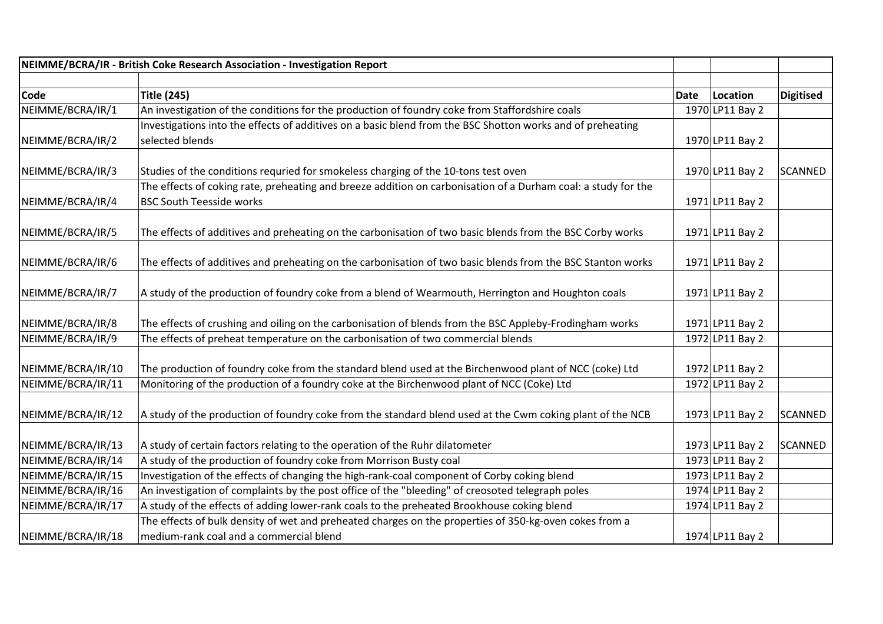|                   | NEIMME/BCRA/IR - British Coke Research Association - Investigation Report                                     |             |                 |                  |
|-------------------|---------------------------------------------------------------------------------------------------------------|-------------|-----------------|------------------|
|                   |                                                                                                               |             |                 |                  |
| <b>Code</b>       | <b>Title (245)</b>                                                                                            | <b>Date</b> | Location        | <b>Digitised</b> |
| NEIMME/BCRA/IR/1  | An investigation of the conditions for the production of foundry coke from Staffordshire coals                |             | 1970 LP11 Bay 2 |                  |
|                   | Investigations into the effects of additives on a basic blend from the BSC Shotton works and of preheating    |             |                 |                  |
| NEIMME/BCRA/IR/2  | selected blends                                                                                               |             | 1970 LP11 Bay 2 |                  |
| NEIMME/BCRA/IR/3  | Studies of the conditions requried for smokeless charging of the 10-tons test oven                            |             | 1970 LP11 Bay 2 | SCANNED          |
|                   | The effects of coking rate, preheating and breeze addition on carbonisation of a Durham coal: a study for the |             |                 |                  |
| NEIMME/BCRA/IR/4  | <b>BSC South Teesside works</b>                                                                               |             | 1971 LP11 Bay 2 |                  |
| NEIMME/BCRA/IR/5  | The effects of additives and preheating on the carbonisation of two basic blends from the BSC Corby works     |             | 1971 LP11 Bay 2 |                  |
| NEIMME/BCRA/IR/6  | The effects of additives and preheating on the carbonisation of two basic blends from the BSC Stanton works   |             | 1971 LP11 Bay 2 |                  |
| NEIMME/BCRA/IR/7  | A study of the production of foundry coke from a blend of Wearmouth, Herrington and Houghton coals            |             | 1971 LP11 Bay 2 |                  |
| NEIMME/BCRA/IR/8  | The effects of crushing and oiling on the carbonisation of blends from the BSC Appleby-Frodingham works       |             | 1971 LP11 Bay 2 |                  |
| NEIMME/BCRA/IR/9  | The effects of preheat temperature on the carbonisation of two commercial blends                              |             | 1972 LP11 Bay 2 |                  |
| NEIMME/BCRA/IR/10 | The production of foundry coke from the standard blend used at the Birchenwood plant of NCC (coke) Ltd        |             | 1972 LP11 Bay 2 |                  |
| NEIMME/BCRA/IR/11 | Monitoring of the production of a foundry coke at the Birchenwood plant of NCC (Coke) Ltd                     |             | 1972 LP11 Bay 2 |                  |
| NEIMME/BCRA/IR/12 | A study of the production of foundry coke from the standard blend used at the Cwm coking plant of the NCB     |             | 1973 LP11 Bay 2 | <b>SCANNED</b>   |
| NEIMME/BCRA/IR/13 | A study of certain factors relating to the operation of the Ruhr dilatometer                                  |             | 1973 LP11 Bay 2 | <b>SCANNED</b>   |
| NEIMME/BCRA/IR/14 | A study of the production of foundry coke from Morrison Busty coal                                            |             | 1973 LP11 Bay 2 |                  |
| NEIMME/BCRA/IR/15 | Investigation of the effects of changing the high-rank-coal component of Corby coking blend                   |             | 1973 LP11 Bay 2 |                  |
| NEIMME/BCRA/IR/16 | An investigation of complaints by the post office of the "bleeding" of creosoted telegraph poles              |             | 1974 LP11 Bay 2 |                  |
| NEIMME/BCRA/IR/17 | A study of the effects of adding lower-rank coals to the preheated Brookhouse coking blend                    |             | 1974 LP11 Bay 2 |                  |
|                   | The effects of bulk density of wet and preheated charges on the properties of 350-kg-oven cokes from a        |             |                 |                  |
| NEIMME/BCRA/IR/18 | medium-rank coal and a commercial blend                                                                       |             | 1974 LP11 Bay 2 |                  |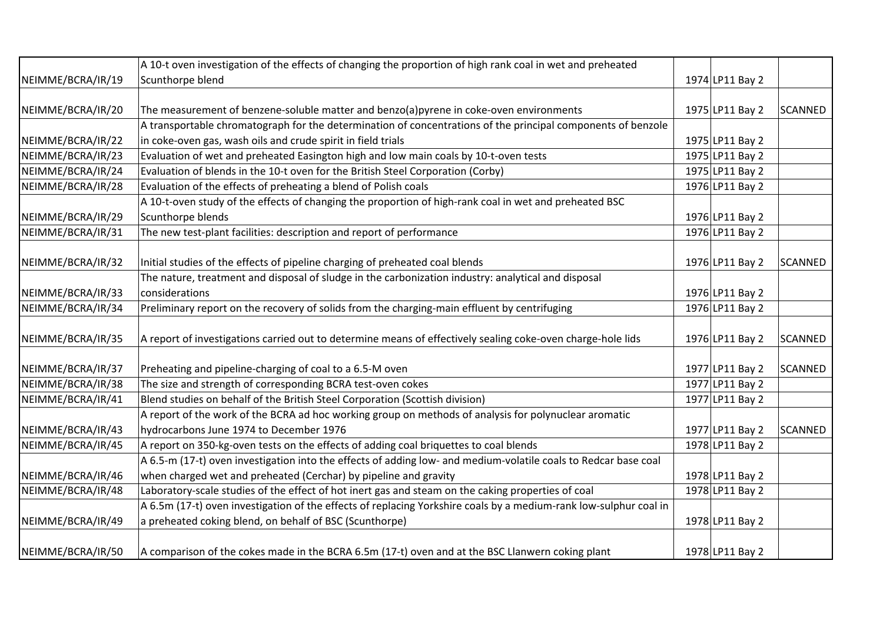|                   | A 10-t oven investigation of the effects of changing the proportion of high rank coal in wet and preheated        |                 |         |
|-------------------|-------------------------------------------------------------------------------------------------------------------|-----------------|---------|
| NEIMME/BCRA/IR/19 | Scunthorpe blend                                                                                                  | 1974 LP11 Bay 2 |         |
|                   |                                                                                                                   |                 |         |
| NEIMME/BCRA/IR/20 | The measurement of benzene-soluble matter and benzo(a)pyrene in coke-oven environments                            | 1975 LP11 Bay 2 | SCANNED |
|                   | A transportable chromatograph for the determination of concentrations of the principal components of benzole      |                 |         |
| NEIMME/BCRA/IR/22 | in coke-oven gas, wash oils and crude spirit in field trials                                                      | 1975 LP11 Bay 2 |         |
| NEIMME/BCRA/IR/23 | Evaluation of wet and preheated Easington high and low main coals by 10-t-oven tests                              | 1975 LP11 Bay 2 |         |
| NEIMME/BCRA/IR/24 | Evaluation of blends in the 10-t oven for the British Steel Corporation (Corby)                                   | 1975 LP11 Bay 2 |         |
| NEIMME/BCRA/IR/28 | Evaluation of the effects of preheating a blend of Polish coals                                                   | 1976 LP11 Bay 2 |         |
|                   | A 10-t-oven study of the effects of changing the proportion of high-rank coal in wet and preheated BSC            |                 |         |
| NEIMME/BCRA/IR/29 | Scunthorpe blends                                                                                                 | 1976 LP11 Bay 2 |         |
| NEIMME/BCRA/IR/31 | The new test-plant facilities: description and report of performance                                              | 1976 LP11 Bay 2 |         |
|                   |                                                                                                                   |                 |         |
| NEIMME/BCRA/IR/32 | Initial studies of the effects of pipeline charging of preheated coal blends                                      | 1976 LP11 Bay 2 | SCANNED |
|                   | The nature, treatment and disposal of sludge in the carbonization industry: analytical and disposal               |                 |         |
| NEIMME/BCRA/IR/33 | considerations                                                                                                    | 1976 LP11 Bay 2 |         |
| NEIMME/BCRA/IR/34 | Preliminary report on the recovery of solids from the charging-main effluent by centrifuging                      | 1976 LP11 Bay 2 |         |
| NEIMME/BCRA/IR/35 | A report of investigations carried out to determine means of effectively sealing coke-oven charge-hole lids       | 1976 LP11 Bay 2 | SCANNED |
|                   |                                                                                                                   |                 |         |
| NEIMME/BCRA/IR/37 | Preheating and pipeline-charging of coal to a 6.5-M oven                                                          | 1977 LP11 Bay 2 | SCANNED |
| NEIMME/BCRA/IR/38 | The size and strength of corresponding BCRA test-oven cokes                                                       | 1977 LP11 Bay 2 |         |
| NEIMME/BCRA/IR/41 | Blend studies on behalf of the British Steel Corporation (Scottish division)                                      | 1977 LP11 Bay 2 |         |
|                   | A report of the work of the BCRA ad hoc working group on methods of analysis for polynuclear aromatic             |                 |         |
| NEIMME/BCRA/IR/43 | hydrocarbons June 1974 to December 1976                                                                           | 1977 LP11 Bay 2 | SCANNED |
| NEIMME/BCRA/IR/45 | A report on 350-kg-oven tests on the effects of adding coal briquettes to coal blends                             | 1978 LP11 Bay 2 |         |
|                   | A 6.5-m (17-t) oven investigation into the effects of adding low- and medium-volatile coals to Redcar base coal   |                 |         |
| NEIMME/BCRA/IR/46 | when charged wet and preheated (Cerchar) by pipeline and gravity                                                  | 1978 LP11 Bay 2 |         |
| NEIMME/BCRA/IR/48 | Laboratory-scale studies of the effect of hot inert gas and steam on the caking properties of coal                | 1978 LP11 Bay 2 |         |
|                   | A 6.5m (17-t) oven investigation of the effects of replacing Yorkshire coals by a medium-rank low-sulphur coal in |                 |         |
| NEIMME/BCRA/IR/49 | a preheated coking blend, on behalf of BSC (Scunthorpe)                                                           | 1978 LP11 Bay 2 |         |
| NEIMME/BCRA/IR/50 | A comparison of the cokes made in the BCRA 6.5m (17-t) oven and at the BSC Llanwern coking plant                  | 1978 LP11 Bay 2 |         |